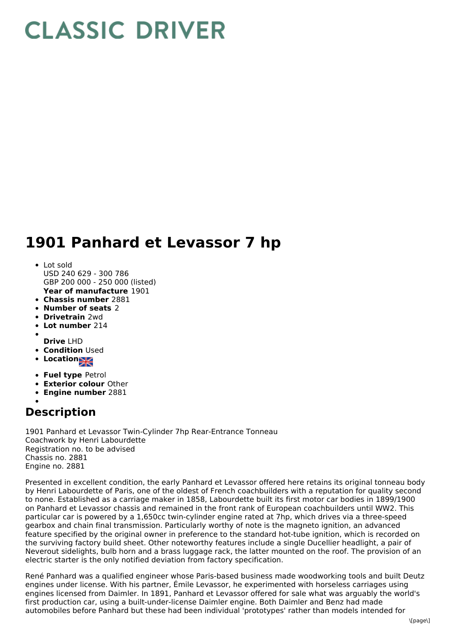## **CLASSIC DRIVER**

## **1901 Panhard et Levassor 7 hp**

- **Year of manufacture** 1901 Lot sold USD 240 629 - 300 786 GBP 200 000 - 250 000 (listed)
- **Chassis number** 2881
- **Number of seats** 2
- 
- **Drivetrain** 2wd
- **Lot number** 214
- **Drive** LHD
- **Condition Used**
- **Locations**
- **Fuel type** Petrol
- **Exterior colour** Other
- **Engine number** 2881

## **Description**

1901 Panhard et Levassor Twin-Cylinder 7hp Rear-Entrance Tonneau Coachwork by Henri Labourdette Registration no. to be advised Chassis no. 2881 Engine no. 2881

Presented in excellent condition, the early Panhard et Levassor offered here retains its original tonneau body by Henri Labourdette of Paris, one of the oldest of French coachbuilders with a reputation for quality second to none. Established as a carriage maker in 1858, Labourdette built its first motor car bodies in 1899/1900 on Panhard et Levassor chassis and remained in the front rank of European coachbuilders until WW2. This particular car is powered by a 1,650cc twin-cylinder engine rated at 7hp, which drives via a three-speed gearbox and chain final transmission. Particularly worthy of note is the magneto ignition, an advanced feature specified by the original owner in preference to the standard hot-tube ignition, which is recorded on the surviving factory build sheet. Other noteworthy features include a single Ducellier headlight, a pair of Neverout sidelights, bulb horn and a brass luggage rack, the latter mounted on the roof. The provision of an electric starter is the only notified deviation from factory specification.

René Panhard was a qualified engineer whose Paris-based business made woodworking tools and built Deutz engines under license. With his partner, Émile Levassor, he experimented with horseless carriages using engines licensed from Daimler. In 1891, Panhard et Levassor offered for sale what was arguably the world's first production car, using a built-under-license Daimler engine. Both Daimler and Benz had made automobiles before Panhard but these had been individual 'prototypes' rather than models intended for